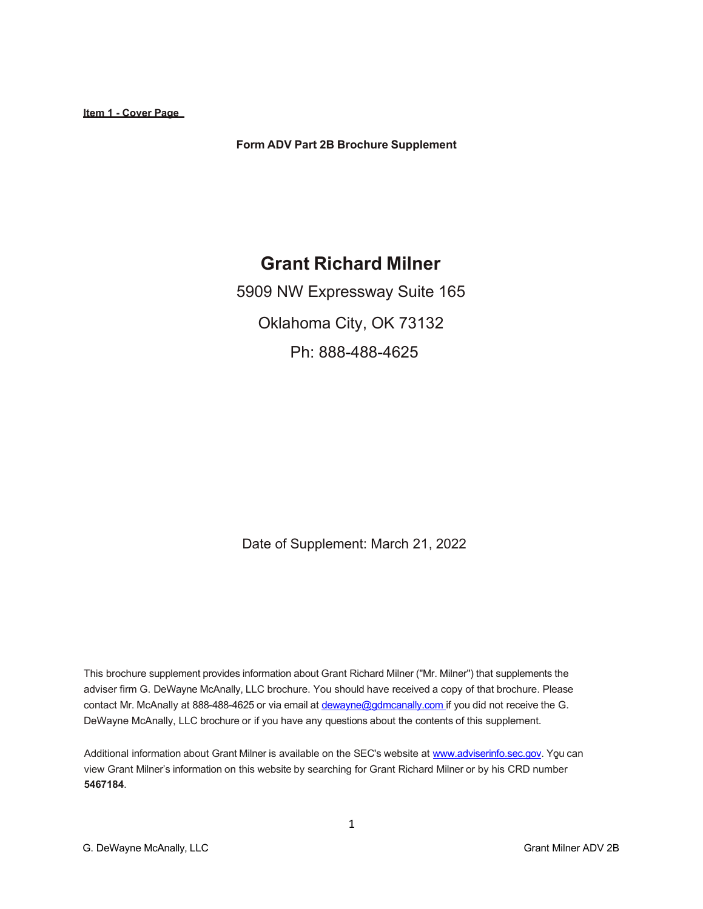**Item 1 - Cover Page**

**Form ADV Part 2B Brochure Supplement**

# **Grant Richard Milner**

5909 NW Expressway Suite 165 Oklahoma City, OK 73132 Ph: 888-488-4625

Date of Supplement: March 21, 2022

This brochure supplement provides information about Grant Richard Milner ("Mr. Milner") that supplements the adviser firm G. DeWayne McAnally, LLC brochure. You should have received a copy of that brochure. Please contact Mr. McAnally at 888-488-4625 or via email at [dewayne@gdmcanally.com](mailto:dewayne@gdmcanally.com) if you did not receive the G. DeWayne McAnally, LLC brochure or if you have any questions about the contents of this supplement.

Additional information about Grant Milner is available on the SEC's website at [www.adviserinfo.sec.gov.](http://www.adviserinfo.sec.gov/) You can view Grant Milner's information on this website by searching for Grant Richard Milner or by his CRD number **5467184**.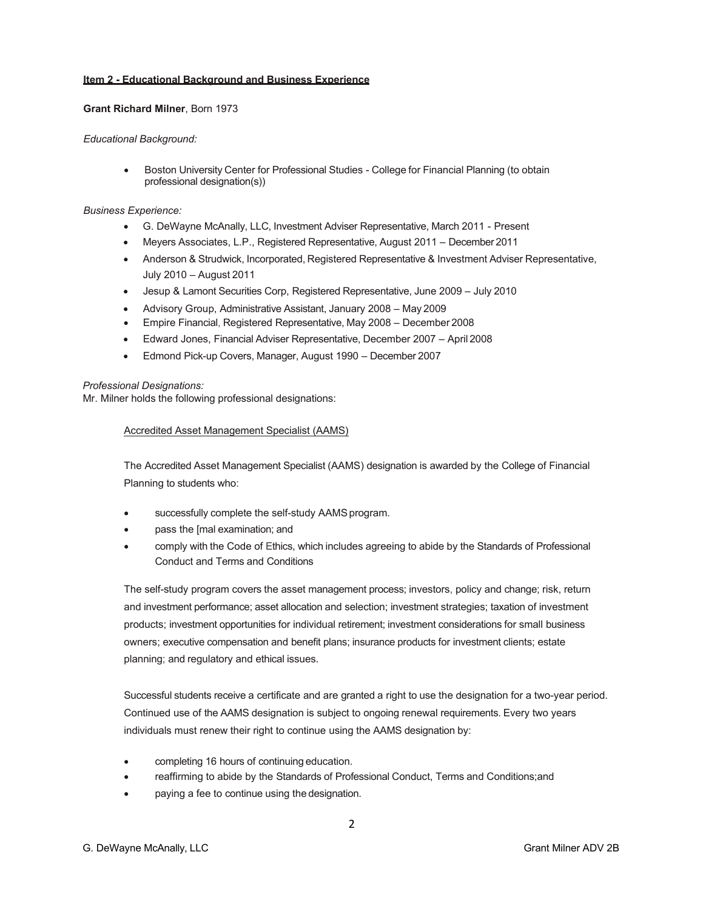#### **Item 2 - Educational Background and Business Experience**

#### **Grant Richard Milner**, Born 1973

#### *Educational Background:*

• Boston University Center for Professional Studies - College for Financial Planning (to obtain professional designation(s))

## *Business Experience:*

- G. DeWayne McAnally, LLC, Investment Adviser Representative, March 2011 Present
- Meyers Associates, L.P., Registered Representative, August 2011 December 2011
- Anderson & Strudwick, Incorporated, Registered Representative & Investment Adviser Representative, July 2010 – August 2011
- Jesup & Lamont Securities Corp, Registered Representative, June 2009 July 2010
- Advisory Group, Administrative Assistant, January 2008 May 2009
- Empire Financial, Registered Representative, May 2008 December 2008
- Edward Jones, Financial Adviser Representative, December 2007 April 2008
- Edmond Pick-up Covers, Manager, August 1990 December 2007

## *Professional Designations:*

Mr. Milner holds the following professional designations:

## Accredited Asset Management Specialist (AAMS)

The Accredited Asset Management Specialist (AAMS) designation is awarded by the College of Financial Planning to students who:

- successfully complete the self-study AAMS program.
- pass the [mal examination; and
- comply with the Code of Ethics, which includes agreeing to abide by the Standards of Professional Conduct and Terms and Conditions

The self-study program covers the asset management process; investors, policy and change; risk, return and investment performance; asset allocation and selection; investment strategies; taxation of investment products; investment opportunities for individual retirement; investment considerations for small business owners; executive compensation and benefit plans; insurance products for investment clients; estate planning; and regulatory and ethical issues.

Successful students receive a certificate and are granted a right to use the designation for a two-year period. Continued use of the AAMS designation is subject to ongoing renewal requirements. Every two years individuals must renew their right to continue using the AAMS designation by:

- completing 16 hours of continuing education.
- reaffirming to abide by the Standards of Professional Conduct, Terms and Conditions;and
- paying a fee to continue using the designation.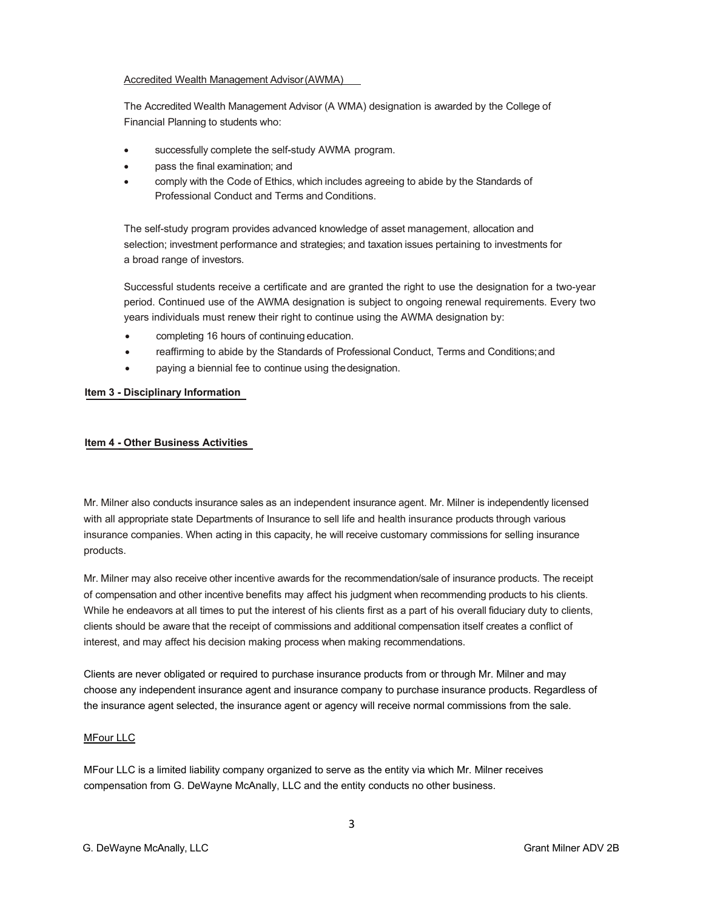#### Accredited Wealth Management Advisor(AWMA)

The Accredited Wealth Management Advisor (A WMA) designation is awarded by the College of Financial Planning to students who:

- successfully complete the self-study AWMA program.
- pass the final examination; and
- comply with the Code of Ethics, which includes agreeing to abide by the Standards of Professional Conduct and Terms and Conditions.

The self-study program provides advanced knowledge of asset management, allocation and selection; investment performance and strategies; and taxation issues pertaining to investments for a broad range of investors.

Successful students receive a certificate and are granted the right to use the designation for a two-year period. Continued use of the AWMA designation is subject to ongoing renewal requirements. Every two years individuals must renew their right to continue using the AWMA designation by:

- completing 16 hours of continuing education.
- reaffirming to abide by the Standards of Professional Conduct, Terms and Conditions;and
- paying a biennial fee to continue using the designation.

#### **Item 3 - Disciplinary Information**

#### **Item 4 - Other Business Activities**

Mr. Milner also conducts insurance sales as an independent insurance agent. Mr. Milner is independently licensed with all appropriate state Departments of Insurance to sell life and health insurance products through various insurance companies. When acting in this capacity, he will receive customary commissions for selling insurance products.

Mr. Milner may also receive other incentive awards for the recommendation/sale of insurance products. The receipt of compensation and other incentive benefits may affect his judgment when recommending products to his clients. While he endeavors at all times to put the interest of his clients first as a part of his overall fiduciary duty to clients, clients should be aware that the receipt of commissions and additional compensation itself creates a conflict of interest, and may affect his decision making process when making recommendations.

Clients are never obligated or required to purchase insurance products from or through Mr. Milner and may choose any independent insurance agent and insurance company to purchase insurance products. Regardless of the insurance agent selected, the insurance agent or agency will receive normal commissions from the sale.

# MFour LLC

MFour LLC is a limited liability company organized to serve as the entity via which Mr. Milner receives compensation from G. DeWayne McAnally, LLC and the entity conducts no other business.